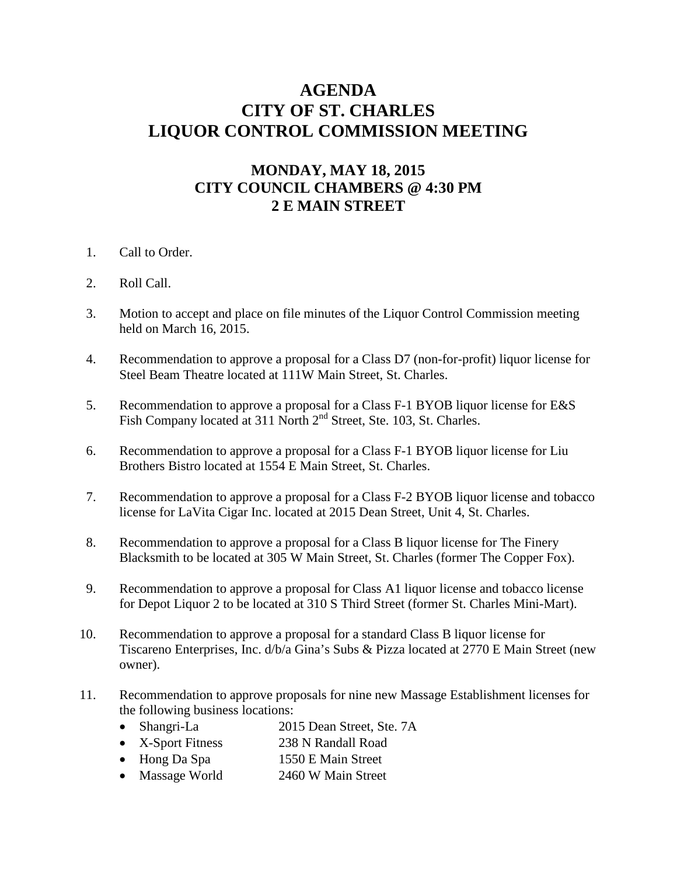## **AGENDA CITY OF ST. CHARLES LIQUOR CONTROL COMMISSION MEETING**

## **MONDAY, MAY 18, 2015 CITY COUNCIL CHAMBERS @ 4:30 PM 2 E MAIN STREET**

- 1. Call to Order.
- 2. Roll Call.
- 3. Motion to accept and place on file minutes of the Liquor Control Commission meeting held on March 16, 2015.
- 4. Recommendation to approve a proposal for a Class D7 (non-for-profit) liquor license for Steel Beam Theatre located at 111W Main Street, St. Charles.
- 5. Recommendation to approve a proposal for a Class F-1 BYOB liquor license for E&S Fish Company located at 311 North 2<sup>nd</sup> Street, Ste. 103, St. Charles.
- 6. Recommendation to approve a proposal for a Class F-1 BYOB liquor license for Liu Brothers Bistro located at 1554 E Main Street, St. Charles.
- 7. Recommendation to approve a proposal for a Class F-2 BYOB liquor license and tobacco license for LaVita Cigar Inc. located at 2015 Dean Street, Unit 4, St. Charles.
- 8. Recommendation to approve a proposal for a Class B liquor license for The Finery Blacksmith to be located at 305 W Main Street, St. Charles (former The Copper Fox).
- 9. Recommendation to approve a proposal for Class A1 liquor license and tobacco license for Depot Liquor 2 to be located at 310 S Third Street (former St. Charles Mini-Mart).
- 10. Recommendation to approve a proposal for a standard Class B liquor license for Tiscareno Enterprises, Inc. d/b/a Gina's Subs & Pizza located at 2770 E Main Street (new owner).
- 11. Recommendation to approve proposals for nine new Massage Establishment licenses for the following business locations:
	- Shangri-La 2015 Dean Street, Ste. 7A
	- X-Sport Fitness 238 N Randall Road
	- Hong Da Spa 1550 E Main Street
	- Massage World 2460 W Main Street